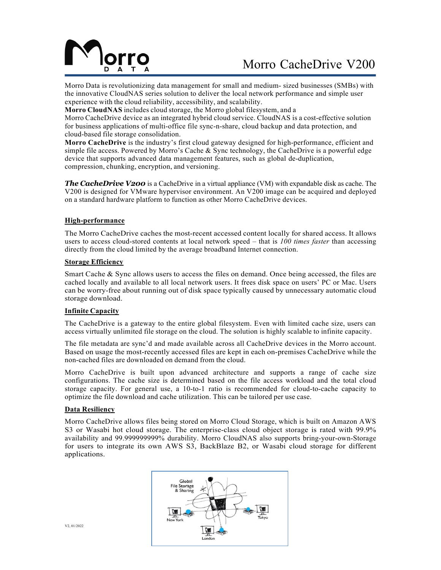

# Morro CacheDrive V200

Morro Data is revolutionizing data management for small and medium- sized businesses (SMBs) with the innovative CloudNAS series solution to deliver the local network performance and simple user experience with the cloud reliability, accessibility, and scalability.

**Morro CloudNAS** includes cloud storage, the Morro global filesystem, and a

Morro CacheDrive device as an integrated hybrid cloud service. CloudNAS is a cost-effective solution for business applications of multi-office file sync-n-share, cloud backup and data protection, and cloud-based file storage consolidation.

**Morro CacheDrive** is the industry's first cloud gateway designed for high-performance, efficient and simple file access. Powered by Morro's Cache  $\&$  Sync technology, the CacheDrive is a powerful edge device that supports advanced data management features, such as global de-duplication, compression, chunking, encryption, and versioning.

*The CacheDrive V200* is a CacheDrive in a virtual appliance (VM) with expandable disk as cache. The V200 is designed for VMware hypervisor environment. An V200 image can be acquired and deployed on a standard hardware platform to function as other Morro CacheDrive devices.

#### **High-performance**

The Morro CacheDrive caches the most-recent accessed content locally for shared access. It allows users to access cloud-stored contents at local network speed – that is *100 times faster* than accessing directly from the cloud limited by the average broadband Internet connection.

#### **Storage Efficiency**

Smart Cache & Sync allows users to access the files on demand. Once being accessed, the files are cached locally and available to all local network users. It frees disk space on users' PC or Mac. Users can be worry-free about running out of disk space typically caused by unnecessary automatic cloud storage download.

## **Infinite Capacity**

The CacheDrive is a gateway to the entire global filesystem. Even with limited cache size, users can access virtually unlimited file storage on the cloud. The solution is highly scalable to infinite capacity.

The file metadata are sync'd and made available across all CacheDrive devices in the Morro account. Based on usage the most-recently accessed files are kept in each on-premises CacheDrive while the non-cached files are downloaded on demand from the cloud.

Morro CacheDrive is built upon advanced architecture and supports a range of cache size configurations. The cache size is determined based on the file access workload and the total cloud storage capacity. For general use, a 10-to-1 ratio is recommended for cloud-to-cache capacity to optimize the file download and cache utilization. This can be tailored per use case.

#### **Data Resiliency**

Morro CacheDrive allows files being stored on Morro Cloud Storage, which is built on Amazon AWS S3 or Wasabi hot cloud storage. The enterprise-class cloud object storage is rated with 99.9% availability and 99.999999999% durability. Morro CloudNAS also supports bring-your-own-Storage for users to integrate its own AWS S3, BackBlaze B2, or Wasabi cloud storage for different applications.